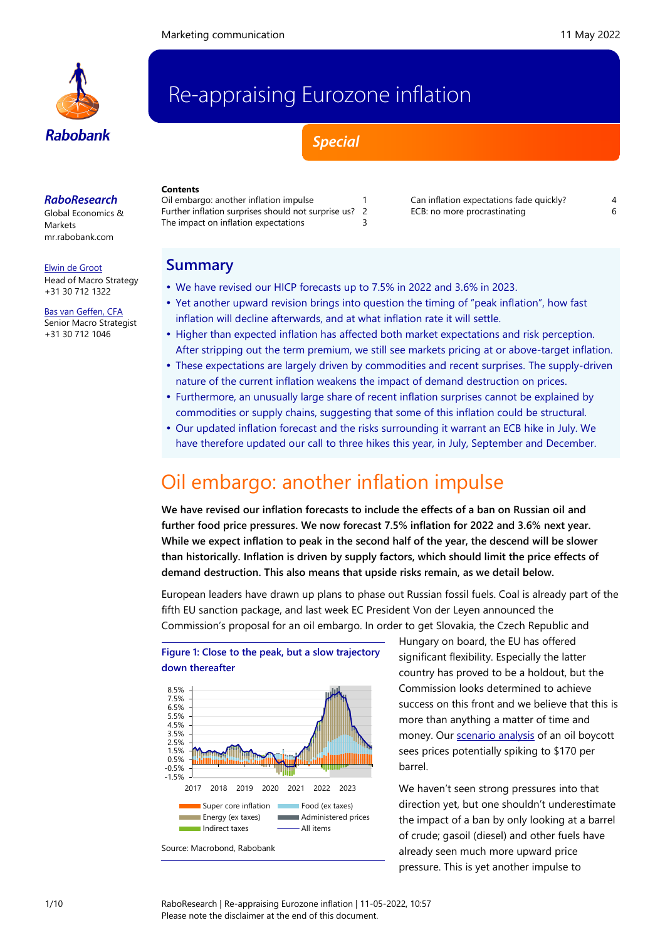

# Re-appraising Eurozone inflation

*Special*

#### *RaboResearch*

Global Economics & Markets [mr.rabobank.com](http://mr.rabobank.com/)

[Elwin de Groot](mailto:elwin.de.groot@rabobank.com) Head of Macro Strategy

+31 30 712 1322 [Bas van Geffen, CFA](mailto:bas.van.geffen@rabobank.com)

Senior Macro Strategist +31 30 712 1046

#### **Contents** [Oil embargo: another inflation impulse](#page-0-0) 1 [Further inflation surprises should not surprise us?](#page-1-0) 2 [The impact on inflation expectations](#page-2-0) 3

[Can inflation expectations fade quickly?](#page-3-0) 4 [ECB: no more procrastinating](#page-5-0) example 6

# **Summary**

- We have revised our HICP forecasts up to 7.5% in 2022 and 3.6% in 2023.
- Yet another upward revision brings into question the timing of "peak inflation", how fast inflation will decline afterwards, and at what inflation rate it will settle.
- Higher than expected inflation has affected both market expectations and risk perception. After stripping out the term premium, we still see markets pricing at or above-target inflation.
- These expectations are largely driven by commodities and recent surprises. The supply-driven nature of the current inflation weakens the impact of demand destruction on prices.
- Furthermore, an unusually large share of recent inflation surprises cannot be explained by commodities or supply chains, suggesting that some of this inflation could be structural.
- Our updated inflation forecast and the risks surrounding it warrant an ECB hike in July. We have therefore updated our call to three hikes this year, in July, September and December.

# <span id="page-0-0"></span>Oil embargo: another inflation impulse

**We have revised our inflation forecasts to include the effects of a ban on Russian oil and further food price pressures. We now forecast 7.5% inflation for 2022 and 3.6% next year. While we expect inflation to peak in the second half of the year, the descend will be slower than historically. Inflation is driven by supply factors, which should limit the price effects of demand destruction. This also means that upside risks remain, as we detail below.**

European leaders have drawn up plans to phase out Russian fossil fuels. Coal is already part of the fifth EU sanction package, and last week EC President Von der Leyen announced the Commission's proposal for an oil embargo. In order to get Slovakia, the Czech Republic and



Hungary on board, the EU has offered significant flexibility. Especially the latter country has proved to be a holdout, but the Commission looks determined to achieve success on this front and we believe that this is more than anything a matter of time and money. Our [scenario analysis](https://research.rabobank.com/markets/en/documents/301307_Scenario%20study%20Russian%20fossil%20fuels%2020220504.pdf) of an oil boycott sees prices potentially spiking to \$170 per barrel.

We haven't seen strong pressures into that direction yet, but one shouldn't underestimate the impact of a ban by only looking at a barrel of crude; gasoil (diesel) and other fuels have already seen much more upward price pressure. This is yet another impulse to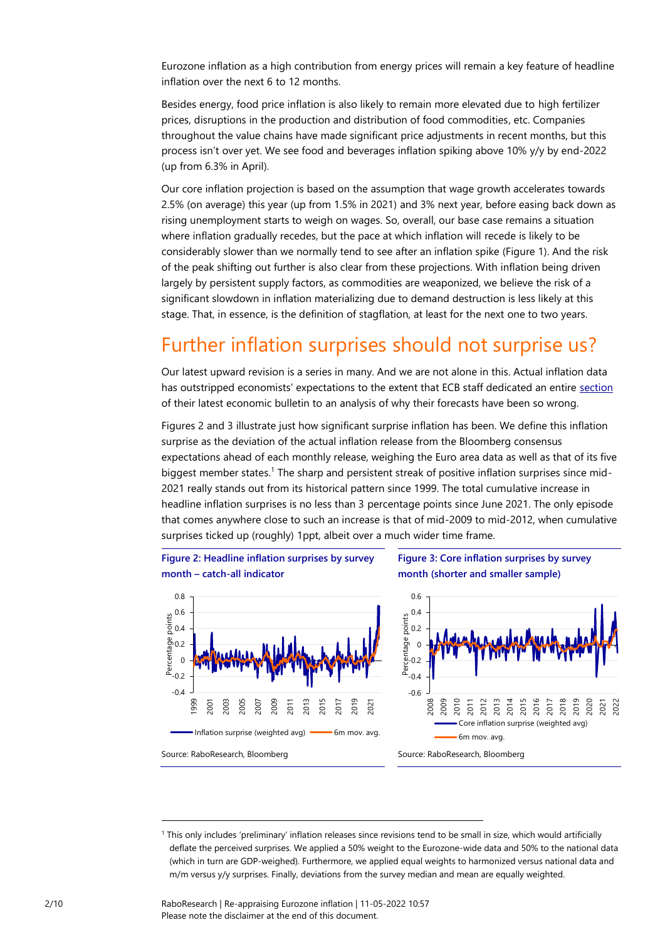Eurozone inflation as a high contribution from energy prices will remain a key feature of headline inflation over the next 6 to 12 months.

Besides energy, food price inflation is also likely to remain more elevated due to high fertilizer prices, disruptions in the production and distribution of food commodities, etc. Companies throughout the value chains have made significant price adjustments in recent months, but this process isn't over yet. We see food and beverages inflation spiking above 10% y/y by end-2022 (up from 6.3% in April).

Our core inflation projection is based on the assumption that wage growth accelerates towards 2.5% (on average) this year (up from 1.5% in 2021) and 3% next year, before easing back down as rising unemployment starts to weigh on wages. So, overall, our base case remains a situation where inflation gradually recedes, but the pace at which inflation will recede is likely to be considerably slower than we normally tend to see after an inflation spike (Figure 1). And the risk of the peak shifting out further is also clear from these projections. With inflation being driven largely by persistent supply factors, as commodities are weaponized, we believe the risk of a significant slowdown in inflation materializing due to demand destruction is less likely at this stage. That, in essence, is the definition of stagflation, at least for the next one to two years.

# <span id="page-1-0"></span>Further inflation surprises should not surprise us?

Our latest upward revision is a series in many. And we are not alone in this. Actual inflation data has outstripped economists' expectations to the extent that ECB staff dedicated an entire [section](https://www.ecb.europa.eu/pub/economic-bulletin/focus/2022/html/ecb.ebbox202203_05~6d1fb8f5b0.en.html) of their latest economic bulletin to an analysis of why their forecasts have been so wrong.

Figures 2 and 3 illustrate just how significant surprise inflation has been. We define this inflation surprise as the deviation of the actual inflation release from the Bloomberg consensus expectations ahead of each monthly release, weighing the Euro area data as well as that of its five biggest member states.<sup>1</sup> The sharp and persistent streak of positive inflation surprises since mid-2021 really stands out from its historical pattern since 1999. The total cumulative increase in headline inflation surprises is no less than 3 percentage points since June 2021. The only episode that comes anywhere close to such an increase is that of mid-2009 to mid-2012, when cumulative surprises ticked up (roughly) 1ppt, albeit over a much wider time frame.





**Figure 3: Core inflation surprises by survey month (shorter and smaller sample)**



<sup>1</sup> This only includes 'preliminary' inflation releases since revisions tend to be small in size, which would artificially deflate the perceived surprises. We applied a 50% weight to the Eurozone-wide data and 50% to the national data (which in turn are GDP-weighed). Furthermore, we applied equal weights to harmonized versus national data and m/m versus y/y surprises. Finally, deviations from the survey median and mean are equally weighted.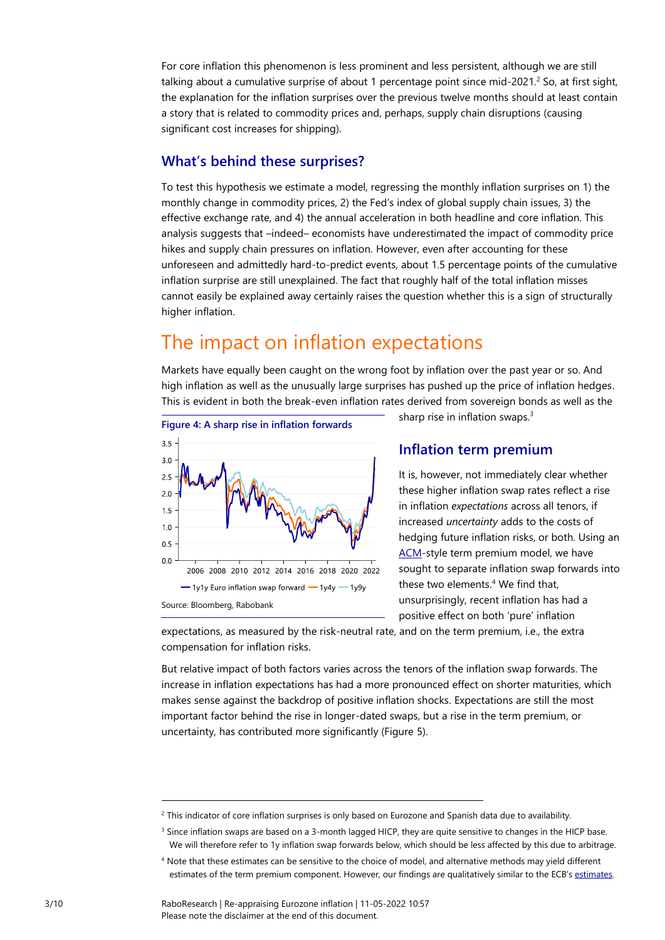For core inflation this phenomenon is less prominent and less persistent, although we are still talking about a cumulative surprise of about 1 percentage point since mid-2021.<sup>2</sup> So, at first sight, the explanation for the inflation surprises over the previous twelve months should at least contain a story that is related to commodity prices and, perhaps, supply chain disruptions (causing significant cost increases for shipping).

## **What's behind these surprises?**

To test this hypothesis we estimate a model, regressing the monthly inflation surprises on 1) the monthly change in commodity prices, 2) the Fed's index of global supply chain issues, 3) the effective exchange rate, and 4) the annual acceleration in both headline and core inflation. This analysis suggests that –indeed– economists have underestimated the impact of commodity price hikes and supply chain pressures on inflation. However, even after accounting for these unforeseen and admittedly hard-to-predict events, about 1.5 percentage points of the cumulative inflation surprise are still unexplained. The fact that roughly half of the total inflation misses cannot easily be explained away certainly raises the question whether this is a sign of structurally higher inflation.

# <span id="page-2-0"></span>The impact on inflation expectations

Markets have equally been caught on the wrong foot by inflation over the past year or so. And high inflation as well as the unusually large surprises has pushed up the price of inflation hedges. This is evident in both the break-even inflation rates derived from sovereign bonds as well as the



sharp rise in inflation swaps.<sup>3</sup>

### **Inflation term premium**

It is, however, not immediately clear whether these higher inflation swap rates reflect a rise in inflation *expectations* across all tenors, if increased *uncertainty* adds to the costs of hedging future inflation risks, or both. Using an [ACM-](https://www.newyorkfed.org/medialibrary/media/research/staff_reports/sr340.pdf)style term premium model, we have sought to separate inflation swap forwards into these two elements.<sup>4</sup> We find that, unsurprisingly, recent inflation has had a positive effect on both 'pure' inflation

expectations, as measured by the risk-neutral rate, and on the term premium, i.e., the extra compensation for inflation risks.

But relative impact of both factors varies across the tenors of the inflation swap forwards. The increase in inflation expectations has had a more pronounced effect on shorter maturities, which makes sense against the backdrop of positive inflation shocks. Expectations are still the most important factor behind the rise in longer-dated swaps, but a rise in the term premium, or uncertainty, has contributed more significantly (Figure 5).

 $2$  This indicator of core inflation surprises is only based on Eurozone and Spanish data due to availability.

<sup>&</sup>lt;sup>3</sup> Since inflation swaps are based on a 3-month lagged HICP, they are quite sensitive to changes in the HICP base. We will therefore refer to 1y inflation swap forwards below, which should be less affected by this due to arbitrage.

<sup>4</sup> Note that these estimates can be sensitive to the choice of model, and alternative methods may yield different estimates of the term premium component. However, our findings are qualitatively similar to the ECB's [estimates.](https://www.ecb.europa.eu/press/key/date/2022/html/ecb.sp220505~dcbd30ecb6.en.html)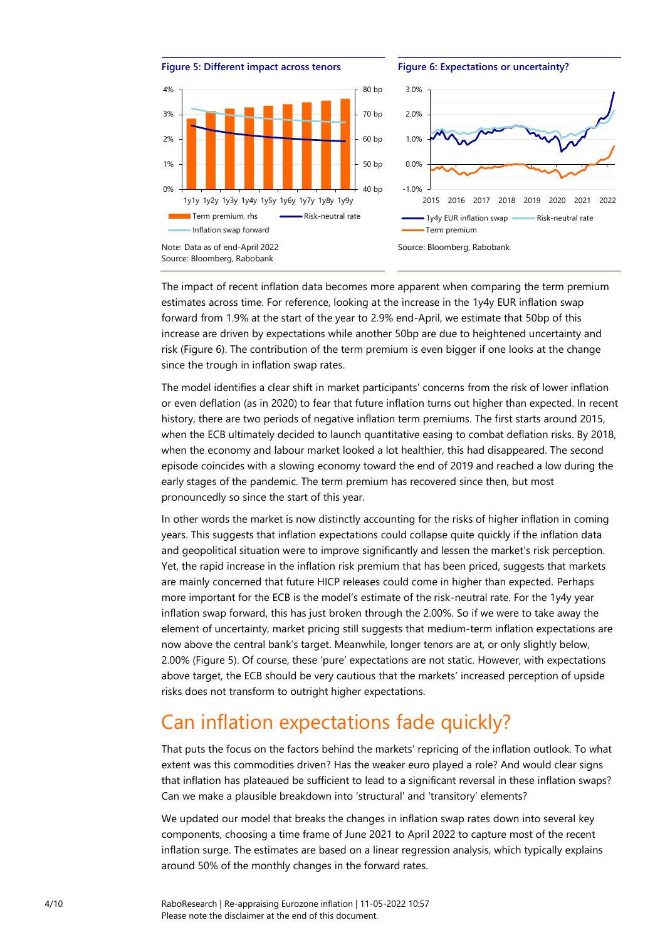



The impact of recent inflation data becomes more apparent when comparing the term premium estimates across time. For reference, looking at the increase in the 1y4y EUR inflation swap forward from 1.9% at the start of the year to 2.9% end-April, we estimate that 50bp of this increase are driven by expectations while another 50bp are due to heightened uncertainty and risk (Figure 6). The contribution of the term premium is even bigger if one looks at the change since the trough in inflation swap rates.

The model identifies a clear shift in market participants' concerns from the risk of lower inflation or even deflation (as in 2020) to fear that future inflation turns out higher than expected. In recent history, there are two periods of negative inflation term premiums. The first starts around 2015, when the ECB ultimately decided to launch quantitative easing to combat deflation risks. By 2018, when the economy and labour market looked a lot healthier, this had disappeared. The second episode coincides with a slowing economy toward the end of 2019 and reached a low during the early stages of the pandemic. The term premium has recovered since then, but most pronouncedly so since the start of this year.

In other words the market is now distinctly accounting for the risks of higher inflation in coming years. This suggests that inflation expectations could collapse quite quickly if the inflation data and geopolitical situation were to improve significantly and lessen the market's risk perception. Yet, the rapid increase in the inflation risk premium that has been priced, suggests that markets are mainly concerned that future HICP releases could come in higher than expected. Perhaps more important for the ECB is the model's estimate of the risk-neutral rate. For the 1y4y year inflation swap forward, this has just broken through the 2.00%. So if we were to take away the element of uncertainty, market pricing still suggests that medium-term inflation expectations are now above the central bank's target. Meanwhile, longer tenors are at, or only slightly below, 2.00% (Figure 5). Of course, these 'pure' expectations are not static. However, with expectations above target, the ECB should be very cautious that the markets' increased perception of upside risks does not transform to outright higher expectations.

# <span id="page-3-0"></span>Can inflation expectations fade quickly?

That puts the focus on the factors behind the markets' repricing of the inflation outlook. To what extent was this commodities driven? Has the weaker euro played a role? And would clear signs that inflation has plateaued be sufficient to lead to a significant reversal in these inflation swaps? Can we make a plausible breakdown into 'structural' and 'transitory' elements?

We updated our model that breaks the changes in inflation swap rates down into several key components, choosing a time frame of June 2021 to April 2022 to capture most of the recent inflation surge. The estimates are based on a linear regression analysis, which typically explains around 50% of the monthly changes in the forward rates.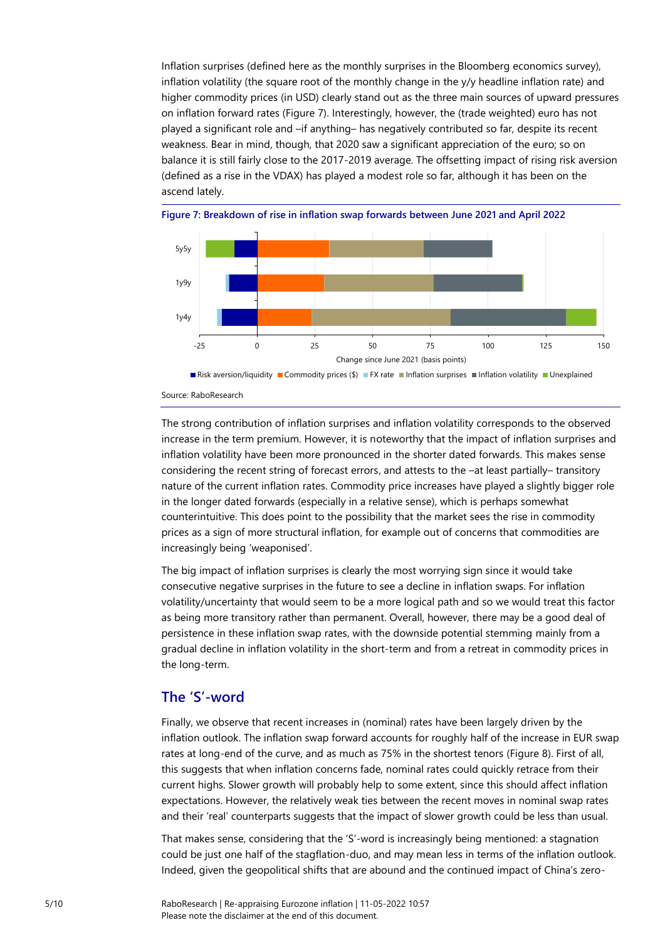Inflation surprises (defined here as the monthly surprises in the Bloomberg economics survey), inflation volatility (the square root of the monthly change in the y/y headline inflation rate) and higher commodity prices (in USD) clearly stand out as the three main sources of upward pressures on inflation forward rates (Figure 7). Interestingly, however, the (trade weighted) euro has not played a significant role and –if anything– has negatively contributed so far, despite its recent weakness. Bear in mind, though, that 2020 saw a significant appreciation of the euro; so on balance it is still fairly close to the 2017-2019 average. The offsetting impact of rising risk aversion (defined as a rise in the VDAX) has played a modest role so far, although it has been on the ascend lately.





The strong contribution of inflation surprises and inflation volatility corresponds to the observed increase in the term premium. However, it is noteworthy that the impact of inflation surprises and inflation volatility have been more pronounced in the shorter dated forwards. This makes sense considering the recent string of forecast errors, and attests to the –at least partially– transitory nature of the current inflation rates. Commodity price increases have played a slightly bigger role in the longer dated forwards (especially in a relative sense), which is perhaps somewhat counterintuitive. This does point to the possibility that the market sees the rise in commodity prices as a sign of more structural inflation, for example out of concerns that commodities are increasingly being 'weaponised'.

The big impact of inflation surprises is clearly the most worrying sign since it would take consecutive negative surprises in the future to see a decline in inflation swaps. For inflation volatility/uncertainty that would seem to be a more logical path and so we would treat this factor as being more transitory rather than permanent. Overall, however, there may be a good deal of persistence in these inflation swap rates, with the downside potential stemming mainly from a gradual decline in inflation volatility in the short-term and from a retreat in commodity prices in the long-term.

### **The 'S'-word**

Finally, we observe that recent increases in (nominal) rates have been largely driven by the inflation outlook. The inflation swap forward accounts for roughly half of the increase in EUR swap rates at long-end of the curve, and as much as 75% in the shortest tenors (Figure 8). First of all, this suggests that when inflation concerns fade, nominal rates could quickly retrace from their current highs. Slower growth will probably help to some extent, since this should affect inflation expectations. However, the relatively weak ties between the recent moves in nominal swap rates and their 'real' counterparts suggests that the impact of slower growth could be less than usual.

That makes sense, considering that the 'S'-word is increasingly being mentioned: a stagnation could be just one half of the stagflation-duo, and may mean less in terms of the inflation outlook. Indeed, given the geopolitical shifts that are abound and the continued impact of China's zero-

Source: RaboResearch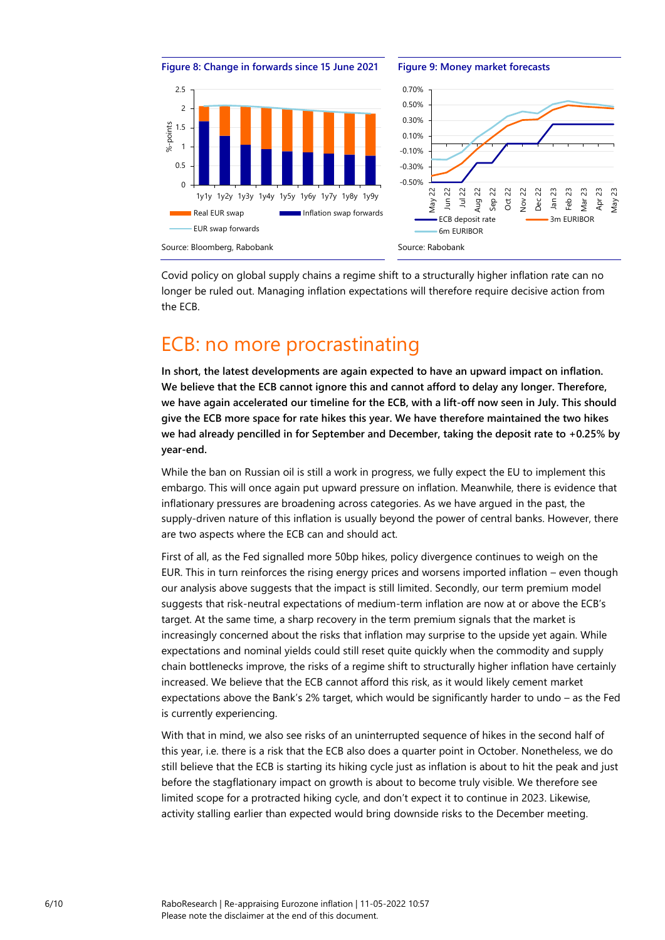

Covid policy on global supply chains a regime shift to a structurally higher inflation rate can no longer be ruled out. Managing inflation expectations will therefore require decisive action from the ECB.

# <span id="page-5-0"></span>ECB: no more procrastinating

**In short, the latest developments are again expected to have an upward impact on inflation. We believe that the ECB cannot ignore this and cannot afford to delay any longer. Therefore, we have again accelerated our timeline for the ECB, with a lift-off now seen in July. This should give the ECB more space for rate hikes this year. We have therefore maintained the two hikes we had already pencilled in for September and December, taking the deposit rate to +0.25% by year-end.** 

While the ban on Russian oil is still a work in progress, we fully expect the EU to implement this embargo. This will once again put upward pressure on inflation. Meanwhile, there is evidence that inflationary pressures are broadening across categories. As we have argued in the past, the supply-driven nature of this inflation is usually beyond the power of central banks. However, there are two aspects where the ECB can and should act.

First of all, as the Fed signalled more 50bp hikes, policy divergence continues to weigh on the EUR. This in turn reinforces the rising energy prices and worsens imported inflation – even though our analysis above suggests that the impact is still limited. Secondly, our term premium model suggests that risk-neutral expectations of medium-term inflation are now at or above the ECB's target. At the same time, a sharp recovery in the term premium signals that the market is increasingly concerned about the risks that inflation may surprise to the upside yet again. While expectations and nominal yields could still reset quite quickly when the commodity and supply chain bottlenecks improve, the risks of a regime shift to structurally higher inflation have certainly increased. We believe that the ECB cannot afford this risk, as it would likely cement market expectations above the Bank's 2% target, which would be significantly harder to undo – as the Fed is currently experiencing.

With that in mind, we also see risks of an uninterrupted sequence of hikes in the second half of this year, i.e. there is a risk that the ECB also does a quarter point in October. Nonetheless, we do still believe that the ECB is starting its hiking cycle just as inflation is about to hit the peak and just before the stagflationary impact on growth is about to become truly visible. We therefore see limited scope for a protracted hiking cycle, and don't expect it to continue in 2023. Likewise, activity stalling earlier than expected would bring downside risks to the December meeting.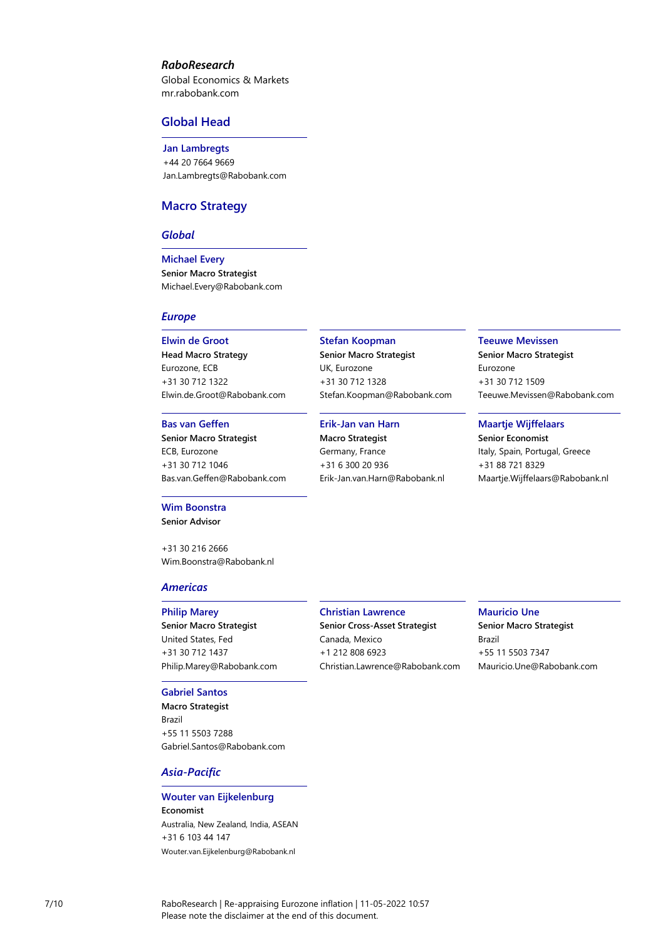#### *RaboResearch*

Global Economics & Markets [mr.rabobank.com](http://mr.rabobank.com/)

#### **Global Head**

**Jan Lambregts** +44 20 7664 9669 [Jan.Lambregts@Rabobank.com](mailto:Jan.Lambregts@Rabobank.com)

#### **Macro Strategy**

#### *Global*

**Michael Every Senior Macro Strategist** [Michael.Every@Rabobank.com](mailto:Michael.Every@Rabobank.com)

#### *Europe*

#### **Elwin de Groot**

**Head Macro Strategy** Eurozone, ECB +31 30 712 1322 [Elwin.de.Groot@Rabobank.com](mailto:Elwin.de.Groot@Rabobank.com)

#### **Bas van Geffen**

**Senior Macro Strategist** ECB, Eurozone +31 30 712 1046 [Bas.van.Geffen@Rabobank.com](mailto:Bas.van.Geffen@Rabobank.com)

#### **Wim Boonstra**

**Senior Advisor**

+31 30 216 2666 [Wim.Boonstra@Rabobank.nl](mailto:Wim.Boonstra@Rabobank.nl)

#### *Americas*

#### **Philip Marey**

**Senior Macro Strategist** United States, Fed +31 30 712 1437 [Philip.Marey@Rabobank.com](mailto:Philip.Marey@Rabobank.com)

#### **Gabriel Santos**

**Macro Strategist** Brazil +55 11 5503 7288 [Gabriel.Santos@Rabobank.com](mailto:Gabriel.Santos@Rabobank.com)

#### *Asia-Pacific*

#### **Wouter van Eijkelenburg Economist** Australia, New Zealand, India, ASEAN +31 6 103 44 147

Wouter.van.Eijkelenburg@Rabobank.nl

#### **Stefan Koopman**

**Senior Macro Strategist** UK, Eurozone +31 30 712 1328 [Stefan.Koopman@Rabobank.com](mailto:Stefan.Koopman@Rabobank.com)

#### **Erik-Jan van Harn**

**Macro Strategist** Germany, France +31 6 300 20 936 [Erik-Jan.van.Harn@Rabobank.nl](mailto:Erik-Jan.van.Harn@Rabobank.nl)

#### **Teeuwe Mevissen**

**Senior Macro Strategist** Eurozone +31 30 712 1509 [Teeuwe.Mevissen@Rabobank.com](mailto:Teeuwe.Mevissen@Rabobank.com)

#### **Maartje Wijffelaars**

**Senior Economist** Italy, Spain, Portugal, Greece +31 88 721 8329 [Maartje.Wijffelaars@Rabobank.nl](mailto:Maartje.Wijffelaars@Rabobank.nl)

#### **Christian Lawrence**

**Senior Cross-Asset Strategist** Canada, Mexico +1 212 808 6923 [Christian.Lawrence@Rabobank.com](mailto:Christian.Lawrence@Rabobank.com) **Mauricio Une Senior Macro Strategist** Brazil +55 11 5503 7347 [Mauricio.Une@Rabobank.com](mailto:Mauricio.Une@Rabobank.com)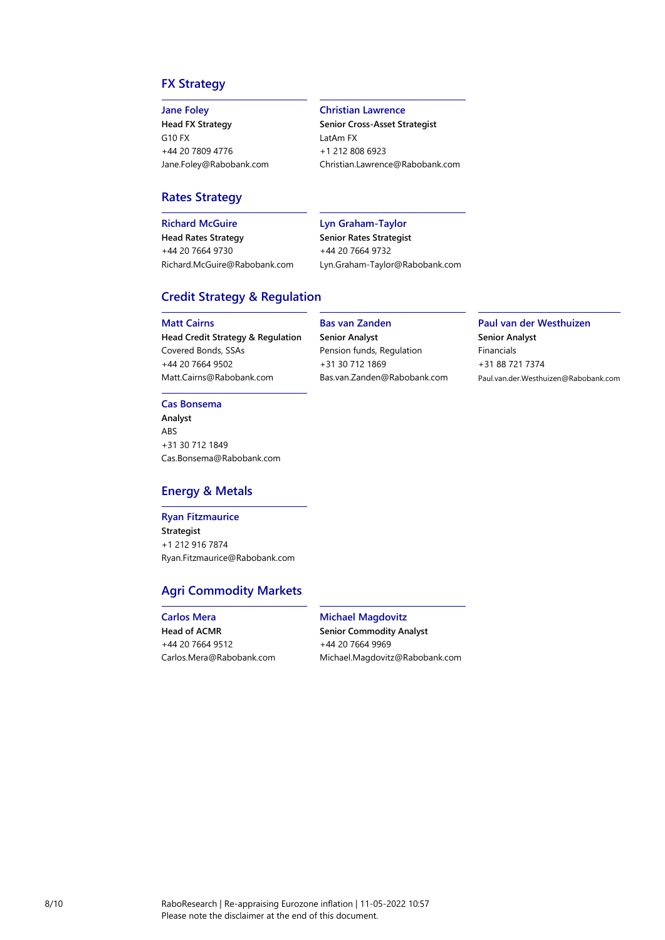### **FX Strategy**

#### **Jane Foley**

**Head FX Strategy** G10 FX +44 20 7809 4776 [Jane.Foley@Rabobank.com](mailto:Jane.Foley@Rabobank.com)

#### **Christian Lawrence**

**Senior Cross-Asset Strategist** LatAm FX +1 212 808 6923 [Christian.Lawrence@Rabobank.com](mailto:Christian.Lawrence@Rabobank.com)

#### **Rates Strategy**

**Richard McGuire**

**Head Rates Strategy** +44 20 7664 9730 [Richard.McGuire@Rabobank.com](mailto:Richard.McGuire@Rabobank.com)

#### **Lyn Graham-Taylor**

**Senior Rates Strategist** +44 20 7664 9732

#### **Credit Strategy & Regulation**

#### **Matt Cairns**

**Head Credit Strategy & Regulation** Covered Bonds, SSAs +44 20 7664 9502 [Matt.Cairns@Rabobank.com](mailto:Matt.Cairns@Rabobank.com)

**Cas Bonsema**

**Analyst** ABS +31 30 712 1849 [Cas.Bonsema@Rabobank.com](mailto:Cas.Bonsema@Rabobank.com)

#### **Energy & Metals**

#### **Ryan Fitzmaurice Strategist** +1 212 916 7874 [Ryan.Fitzmaurice@Rabobank.com](mailto:Ryan.Fitzmaurice@rabobank.com)

### **Agri Commodity Markets**

#### **Carlos Mera Head of ACMR** +44 20 7664 9512 [Carlos.Mera@Rabobank.com](mailto:Carlos.Mera@Rabobank.com)

**Bas van Zanden Senior Analyst**

Pension funds, Regulation +31 30 712 1869

[Bas.van.Zanden@Rabobank.com](mailto:Bas.van.Zanden@Rabobank.com)

[Lyn.Graham-Taylor@Rabobank.com](mailto:Lyn.Graham-Taylor@Rabobank.com)

### **Paul van der Westhuizen Senior Analyst** Financials

+31 88 721 7374 Paul.van.der.Westhuizen@Rabobank.com

**Michael Magdovitz Senior Commodity Analyst** +44 20 7664 9969 [Michael.Magdovitz@Rabobank.com](mailto:Michael.Magdovitz@Rabobank.com)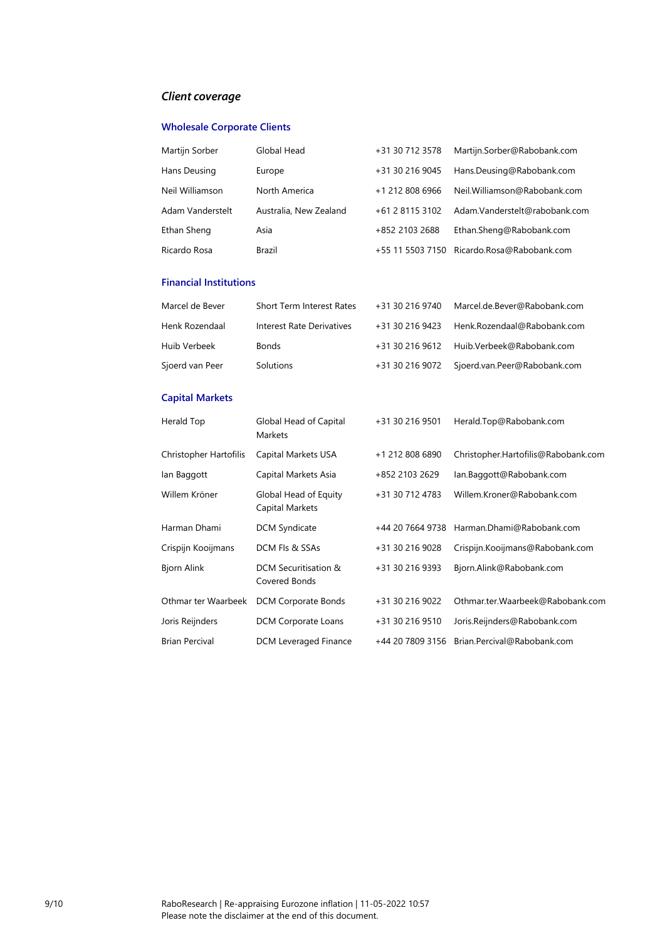## *Client coverage*

### **Wholesale Corporate Clients**

| Martijn Sorber   | Global Head            | +31 30 712 3578 | Martijn.Sorber@Rabobank.com                |
|------------------|------------------------|-----------------|--------------------------------------------|
| Hans Deusing     | Europe                 | +31 30 216 9045 | Hans.Deusing@Rabobank.com                  |
| Neil Williamson  | North America          | +1 212 808 6966 | Neil.Williamson@Rabobank.com               |
| Adam Vanderstelt | Australia, New Zealand | +61 2 8115 3102 | Adam.Vanderstelt@rabobank.com              |
| Ethan Sheng      | Asia                   | +852 2103 2688  | Ethan.Sheng@Rabobank.com                   |
| Ricardo Rosa     | Brazil                 |                 | +55 11 5503 7150 Ricardo.Rosa@Rabobank.com |

#### **Financial Institutions**

| Marcel de Bever | <b>Short Term Interest Rates</b> | +31 30 216 9740 | Marcel.de.Bever@Rabobank.com              |
|-----------------|----------------------------------|-----------------|-------------------------------------------|
| Henk Rozendaal  | Interest Rate Derivatives        | +31 30 216 9423 | Henk.Rozendaal@Rabobank.com               |
| Huib Verbeek    | <b>Bonds</b>                     |                 | +31 30 216 9612 Huib.Verbeek@Rabobank.com |
| Sjoerd van Peer | Solutions                        | +31 30 216 9072 | Sjoerd.van.Peer@Rabobank.com              |

### **Capital Markets**

| Herald Top             | Global Head of Capital<br>Markets        | +31 30 216 9501  | Herald.Top@Rabobank.com             |
|------------------------|------------------------------------------|------------------|-------------------------------------|
| Christopher Hartofilis | Capital Markets USA                      | +1 212 808 6890  | Christopher.Hartofilis@Rabobank.com |
| lan Baggott            | Capital Markets Asia                     | +852 2103 2629   | lan.Baggott@Rabobank.com            |
| Willem Kröner          | Global Head of Equity<br>Capital Markets | +31 30 712 4783  | Willem.Kroner@Rabobank.com          |
| Harman Dhami           | <b>DCM Syndicate</b>                     | +44 20 7664 9738 | Harman.Dhami@Rabobank.com           |
| Crispijn Kooijmans     | DCM FIs & SSAs                           | +31 30 216 9028  | Crispijn.Kooijmans@Rabobank.com     |
| <b>Bjorn Alink</b>     | DCM Securitisation &<br>Covered Bonds    | +31 30 216 9393  | Bjorn.Alink@Rabobank.com            |
| Othmar ter Waarbeek    | DCM Corporate Bonds                      | +31 30 216 9022  | Othmar.ter.Waarbeek@Rabobank.com    |
| Joris Reijnders        | <b>DCM Corporate Loans</b>               | +31 30 216 9510  | Joris.Reijnders@Rabobank.com        |
| <b>Brian Percival</b>  | DCM Leveraged Finance                    | +44 20 7809 3156 | Brian.Percival@Rabobank.com         |